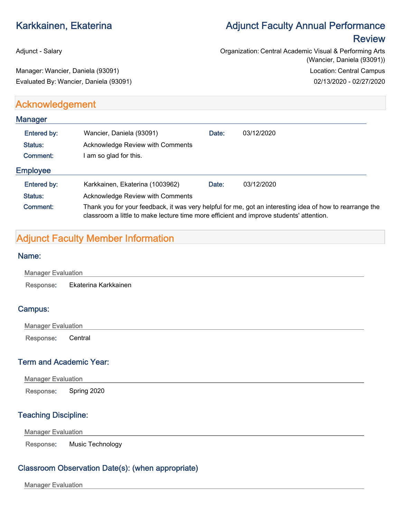# Karkkainen, Ekaterina **Adjunct Faculty Annual Performance Review**

Adjunct - Salary **Adjunct - Salary Contral Academic Visual & Performing Arts** Central Academic Visual & Performing Arts (Wancier, Daniela (93091)) Manager: Wancier, Daniela (93091) and the state of the state of the state of the Location: Central Campus Evaluated By: Wancier, Daniela (93091) 02/13/2020 - 02/27/2020

# **Acknowledgement**

| <b>Manager</b>  |                                                                                                                                                                                                     |       |            |
|-----------------|-----------------------------------------------------------------------------------------------------------------------------------------------------------------------------------------------------|-------|------------|
| Entered by:     | Wancier, Daniela (93091)                                                                                                                                                                            | Date: | 03/12/2020 |
| Status:         | <b>Acknowledge Review with Comments</b>                                                                                                                                                             |       |            |
| Comment:        | am so glad for this.                                                                                                                                                                                |       |            |
| <b>Employee</b> |                                                                                                                                                                                                     |       |            |
| Entered by:     | Karkkainen, Ekaterina (1003962)                                                                                                                                                                     | Date: | 03/12/2020 |
| Status:         | Acknowledge Review with Comments                                                                                                                                                                    |       |            |
| Comment:        | Thank you for your feedback, it was very helpful for me, got an interesting idea of how to rearrange the<br>classroom a little to make lecture time more efficient and improve students' attention. |       |            |

# Adjunct Faculty Member Information

#### Name:

| <b>Manager Evaluation</b> |                      |  |  |
|---------------------------|----------------------|--|--|
| Response:                 | Ekaterina Karkkainen |  |  |
|                           |                      |  |  |

### Campus:

| <b>Manager Evaluation</b> |  |  |
|---------------------------|--|--|
| Response: Central         |  |  |

## Term and Academic Year:

| <b>Manager Evaluation</b> |                       |
|---------------------------|-----------------------|
|                           | Response: Spring 2020 |

### Teaching Discipline:

Manager Evaluation

Response: Music Technology

### Classroom Observation Date(s): (when appropriate)

Manager Evaluation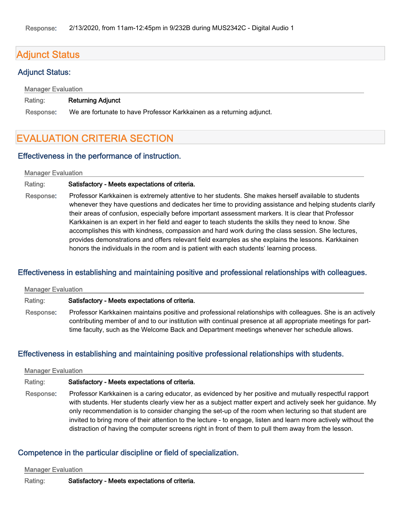# Adjunct Status

#### Adjunct Status:

Manager Evaluation

#### Rating: Returning Adjunct

Response: We are fortunate to have Professor Karkkainen as a returning adjunct.

# EVALUATION CRITERIA SECTION

#### Effectiveness in the performance of instruction.

#### Manager Evaluation

#### Rating: Satisfactory - Meets expectations of criteria.

Response: Professor Karkkainen is extremely attentive to her students. She makes herself available to students whenever they have questions and dedicates her time to providing assistance and helping students clarify their areas of confusion, especially before important assessment markers. It is clear that Professor Karkkainen is an expert in her field and eager to teach students the skills they need to know. She accomplishes this with kindness, compassion and hard work during the class session. She lectures, provides demonstrations and offers relevant field examples as she explains the lessons. Karkkainen honors the individuals in the room and is patient with each students' learning process.

### Effectiveness in establishing and maintaining positive and professional relationships with colleagues.

| <b>Manager Evaluation</b> |                                                                                                                                                                                                                                                                                                                           |
|---------------------------|---------------------------------------------------------------------------------------------------------------------------------------------------------------------------------------------------------------------------------------------------------------------------------------------------------------------------|
| Rating:                   | Satisfactory - Meets expectations of criteria.                                                                                                                                                                                                                                                                            |
| Response:                 | Professor Karkkainen maintains positive and professional relationships with colleagues. She is an actively<br>contributing member of and to our institution with continual presence at all appropriate meetings for part-<br>time faculty, such as the Welcome Back and Department meetings whenever her schedule allows. |

### Effectiveness in establishing and maintaining positive professional relationships with students.

#### Manager Evaluation

#### Rating: Satisfactory - Meets expectations of criteria.

Response: Professor Karkkainen is a caring educator, as evidenced by her positive and mutually respectful rapport with students. Her students clearly view her as a subject matter expert and actively seek her guidance. My only recommendation is to consider changing the set-up of the room when lecturing so that student are invited to bring more of their attention to the lecture - to engage, listen and learn more actively without the distraction of having the computer screens right in front of them to pull them away from the lesson.

#### Competence in the particular discipline or field of specialization.

Manager Evaluation

Rating: Satisfactory - Meets expectations of criteria.